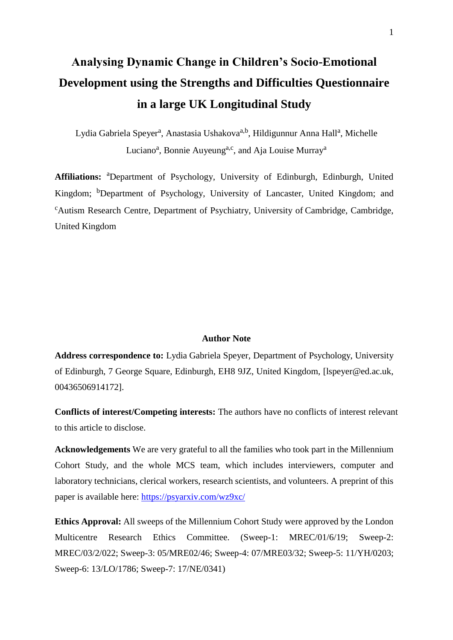# **Analysing Dynamic Change in Children's Socio-Emotional Development using the Strengths and Difficulties Questionnaire in a large UK Longitudinal Study**

Lydia Gabriela Speyer<sup>a</sup>, Anastasia Ushakova<sup>a,b</sup>, Hildigunnur Anna Hall<sup>a</sup>, Michelle Luciano<sup>a</sup>, Bonnie Auyeung<sup>a,c</sup>, and Aja Louise Murray<sup>a</sup>

Affiliations: <sup>a</sup>Department of Psychology, University of Edinburgh, Edinburgh, United Kingdom; <sup>b</sup>Department of Psychology, University of Lancaster, United Kingdom; and <sup>c</sup>Autism Research Centre, Department of Psychiatry, University of Cambridge, Cambridge, United Kingdom

## **Author Note**

Address correspondence to: Lydia Gabriela Speyer, Department of Psychology, University of Edinburgh, 7 George Square, Edinburgh, EH8 9JZ, United Kingdom, [\[lspeyer@ed.ac.uk,](mailto:lspeyer@exseed.ed.ac.uk)  [00436506914172\].](mailto:lspeyer@exseed.ed.ac.uk)

**Conflicts of interest/Competing interests:** The authors have no conflicts of interest relevant to this article to disclose.

**Acknowledgements** We are very grateful to all the families who took part in the Millennium Cohort Study, and the whole MCS team, which includes interviewers, computer and laboratory technicians, clerical workers, research scientists, and volunteers. A preprint of this paper is available here:<https://psyarxiv.com/wz9xc/>

**Ethics Approval:** All sweeps of the Millennium Cohort Study were approved by the London Multicentre Research Ethics Committee. (Sweep-1: MREC/01/6/19; Sweep-2: MREC/03/2/022; Sweep-3: 05/MRE02/46; Sweep-4: 07/MRE03/32; Sweep-5: 11/YH/0203; Sweep-6: 13/LO/1786; Sweep-7: 17/NE/0341)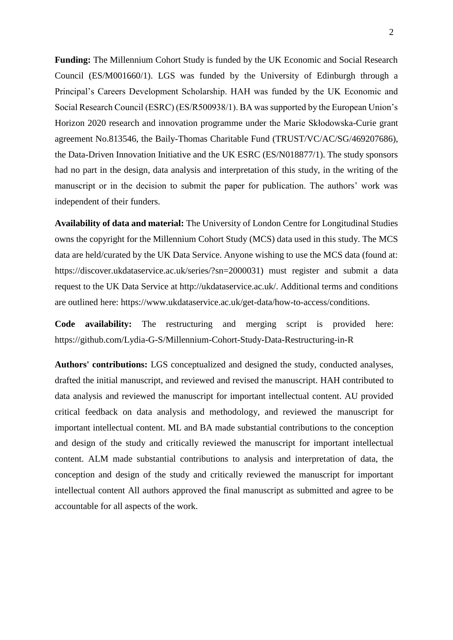**Funding:** The Millennium Cohort Study is funded by the UK Economic and Social Research Council (ES/M001660/1). LGS was funded by the University of Edinburgh through a Principal's Careers Development Scholarship. HAH was funded by the UK Economic and Social Research Council (ESRC) (ES/R500938/1). BA was supported by the European Union's Horizon 2020 research and innovation programme under the Marie Skłodowska-Curie grant agreement No.813546, the Baily-Thomas Charitable Fund (TRUST/VC/AC/SG/469207686), the Data-Driven Innovation Initiative and the UK ESRC (ES/N018877/1). The study sponsors had no part in the design, data analysis and interpretation of this study, in the writing of the manuscript or in the decision to submit the paper for publication. The authors' work was independent of their funders.

**Availability of data and material:** The University of London Centre for Longitudinal Studies owns the copyright for the Millennium Cohort Study (MCS) data used in this study. The MCS data are held/curated by the UK Data Service. Anyone wishing to use the MCS data (found at: https://discover.ukdataservice.ac.uk/series/?sn=2000031) must register and submit a data request to the UK Data Service at http://ukdataservice.ac.uk/. Additional terms and conditions are outlined here: https://www.ukdataservice.ac.uk/get-data/how-to-access/conditions.

**Code availability:** The restructuring and merging script is provided here: https://github.com/Lydia-G-S/Millennium-Cohort-Study-Data-Restructuring-in-R

**Authors' contributions:** LGS conceptualized and designed the study, conducted analyses, drafted the initial manuscript, and reviewed and revised the manuscript. HAH contributed to data analysis and reviewed the manuscript for important intellectual content. AU provided critical feedback on data analysis and methodology, and reviewed the manuscript for important intellectual content. ML and BA made substantial contributions to the conception and design of the study and critically reviewed the manuscript for important intellectual content. ALM made substantial contributions to analysis and interpretation of data, the conception and design of the study and critically reviewed the manuscript for important intellectual content All authors approved the final manuscript as submitted and agree to be accountable for all aspects of the work.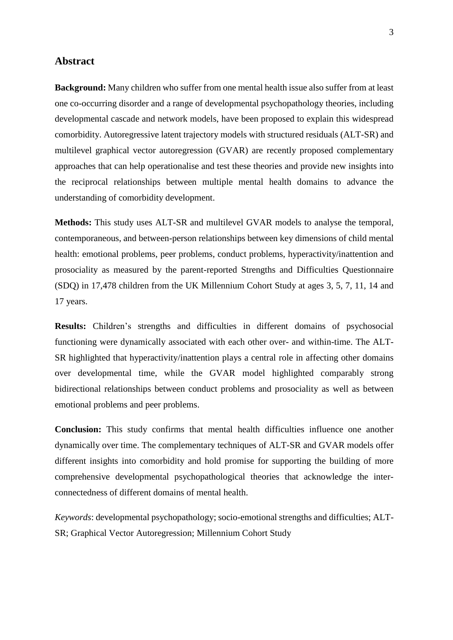## **Abstract**

**Background:** Many children who suffer from one mental health issue also suffer from at least one co-occurring disorder and a range of developmental psychopathology theories, including developmental cascade and network models, have been proposed to explain this widespread comorbidity. Autoregressive latent trajectory models with structured residuals (ALT-SR) and multilevel graphical vector autoregression (GVAR) are recently proposed complementary approaches that can help operationalise and test these theories and provide new insights into the reciprocal relationships between multiple mental health domains to advance the understanding of comorbidity development.

**Methods:** This study uses ALT-SR and multilevel GVAR models to analyse the temporal, contemporaneous, and between-person relationships between key dimensions of child mental health: emotional problems, peer problems, conduct problems, hyperactivity/inattention and prosociality as measured by the parent-reported Strengths and Difficulties Questionnaire (SDQ) in 17,478 children from the UK Millennium Cohort Study at ages 3, 5, 7, 11, 14 and 17 years.

**Results:** Children's strengths and difficulties in different domains of psychosocial functioning were dynamically associated with each other over- and within-time. The ALT-SR highlighted that hyperactivity/inattention plays a central role in affecting other domains over developmental time, while the GVAR model highlighted comparably strong bidirectional relationships between conduct problems and prosociality as well as between emotional problems and peer problems.

**Conclusion:** This study confirms that mental health difficulties influence one another dynamically over time. The complementary techniques of ALT-SR and GVAR models offer different insights into comorbidity and hold promise for supporting the building of more comprehensive developmental psychopathological theories that acknowledge the interconnectedness of different domains of mental health.

*Keywords*: developmental psychopathology; socio-emotional strengths and difficulties; ALT-SR; Graphical Vector Autoregression; Millennium Cohort Study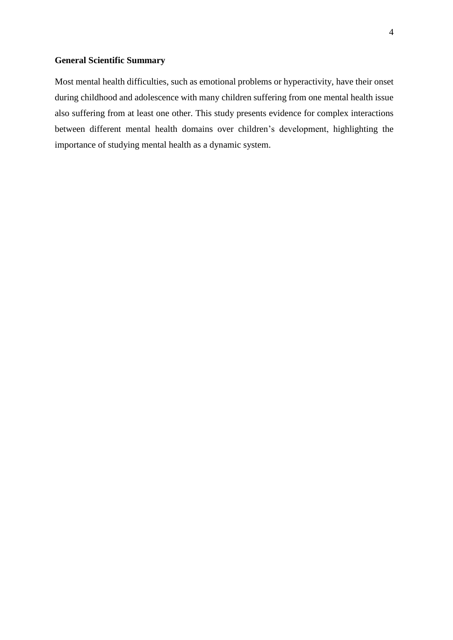## **General Scientific Summary**

Most mental health difficulties, such as emotional problems or hyperactivity, have their onset during childhood and adolescence with many children suffering from one mental health issue also suffering from at least one other. This study presents evidence for complex interactions between different mental health domains over children's development, highlighting the importance of studying mental health as a dynamic system.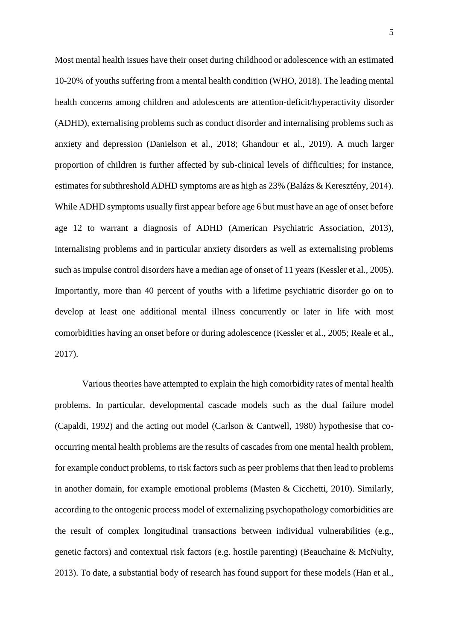Most mental health issues have their onset during childhood or adolescence with an estimated 10-20% of youths suffering from a mental health condition (WHO, 2018). The leading mental health concerns among children and adolescents are attention-deficit/hyperactivity disorder (ADHD), externalising problems such as conduct disorder and internalising problems such as anxiety and depression (Danielson et al., 2018; Ghandour et al., 2019). A much larger proportion of children is further affected by sub-clinical levels of difficulties; for instance, estimates for subthreshold ADHD symptoms are as high as 23% (Balázs & Keresztény, 2014). While ADHD symptoms usually first appear before age 6 but must have an age of onset before age 12 to warrant a diagnosis of ADHD (American Psychiatric Association, 2013), internalising problems and in particular anxiety disorders as well as externalising problems such as impulse control disorders have a median age of onset of 11 years (Kessler et al., 2005). Importantly, more than 40 percent of youths with a lifetime psychiatric disorder go on to develop at least one additional mental illness concurrently or later in life with most comorbidities having an onset before or during adolescence (Kessler et al., 2005; Reale et al., 2017).

Various theories have attempted to explain the high comorbidity rates of mental health problems. In particular, developmental cascade models such as the dual failure model (Capaldi, 1992) and the acting out model (Carlson & Cantwell, 1980) hypothesise that cooccurring mental health problems are the results of cascades from one mental health problem, for example conduct problems, to risk factors such as peer problems that then lead to problems in another domain, for example emotional problems (Masten & Cicchetti, 2010). Similarly, according to the ontogenic process model of externalizing psychopathology comorbidities are the result of complex longitudinal transactions between individual vulnerabilities (e.g., genetic factors) and contextual risk factors (e.g. hostile parenting) (Beauchaine & McNulty, 2013). To date, a substantial body of research has found support for these models (Han et al.,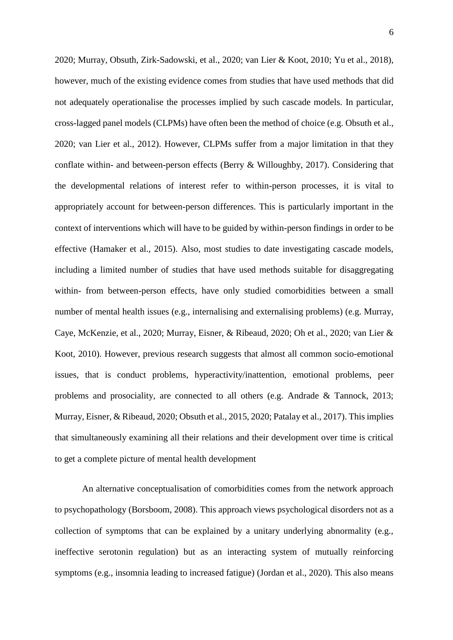2020; Murray, Obsuth, Zirk-Sadowski, et al., 2020; van Lier & Koot, 2010; Yu et al., 2018), however, much of the existing evidence comes from studies that have used methods that did not adequately operationalise the processes implied by such cascade models. In particular, cross-lagged panel models (CLPMs) have often been the method of choice (e.g. Obsuth et al., 2020; van Lier et al., 2012). However, CLPMs suffer from a major limitation in that they conflate within- and between-person effects (Berry & Willoughby, 2017). Considering that the developmental relations of interest refer to within-person processes, it is vital to appropriately account for between-person differences. This is particularly important in the context of interventions which will have to be guided by within-person findings in order to be effective (Hamaker et al., 2015). Also, most studies to date investigating cascade models, including a limited number of studies that have used methods suitable for disaggregating within- from between-person effects, have only studied comorbidities between a small number of mental health issues (e.g., internalising and externalising problems) (e.g. Murray, Caye, McKenzie, et al., 2020; Murray, Eisner, & Ribeaud, 2020; Oh et al., 2020; van Lier & Koot, 2010). However, previous research suggests that almost all common socio-emotional issues, that is conduct problems, hyperactivity/inattention, emotional problems, peer problems and prosociality, are connected to all others (e.g. Andrade & Tannock, 2013; Murray, Eisner, & Ribeaud, 2020; Obsuth et al., 2015, 2020; Patalay et al., 2017). This implies that simultaneously examining all their relations and their development over time is critical to get a complete picture of mental health development

An alternative conceptualisation of comorbidities comes from the network approach to psychopathology (Borsboom, 2008). This approach views psychological disorders not as a collection of symptoms that can be explained by a unitary underlying abnormality (e.g., ineffective serotonin regulation) but as an interacting system of mutually reinforcing symptoms (e.g., insomnia leading to increased fatigue) (Jordan et al., 2020). This also means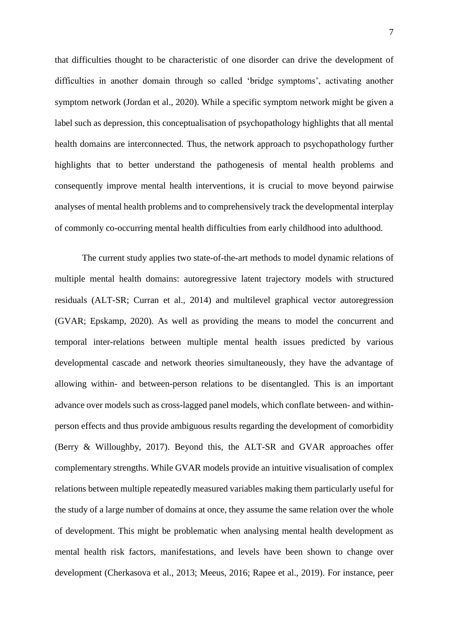that difficulties thought to be characteristic of one disorder can drive the development of difficulties in another domain through so called 'bridge symptoms', activating another symptom network (Jordan et al., 2020). While a specific symptom network might be given a label such as depression, this conceptualisation of psychopathology highlights that all mental health domains are interconnected. Thus, the network approach to psychopathology further highlights that to better understand the pathogenesis of mental health problems and consequently improve mental health interventions, it is crucial to move beyond pairwise analyses of mental health problems and to comprehensively track the developmental interplay of commonly co-occurring mental health difficulties from early childhood into adulthood.

The current study applies two state-of-the-art methods to model dynamic relations of multiple mental health domains: autoregressive latent trajectory models with structured residuals (ALT-SR; Curran et al., 2014) and multilevel graphical vector autoregression (GVAR; Epskamp, 2020). As well as providing the means to model the concurrent and temporal inter-relations between multiple mental health issues predicted by various developmental cascade and network theories simultaneously, they have the advantage of allowing within- and between-person relations to be disentangled. This is an important advance over models such as cross-lagged panel models, which conflate between- and withinperson effects and thus provide ambiguous results regarding the development of comorbidity (Berry & Willoughby, 2017). Beyond this, the ALT-SR and GVAR approaches offer complementary strengths. While GVAR models provide an intuitive visualisation of complex relations between multiple repeatedly measured variables making them particularly useful for the study of a large number of domains at once, they assume the same relation over the whole of development. This might be problematic when analysing mental health development as mental health risk factors, manifestations, and levels have been shown to change over development (Cherkasova et al., 2013; Meeus, 2016; Rapee et al., 2019). For instance, peer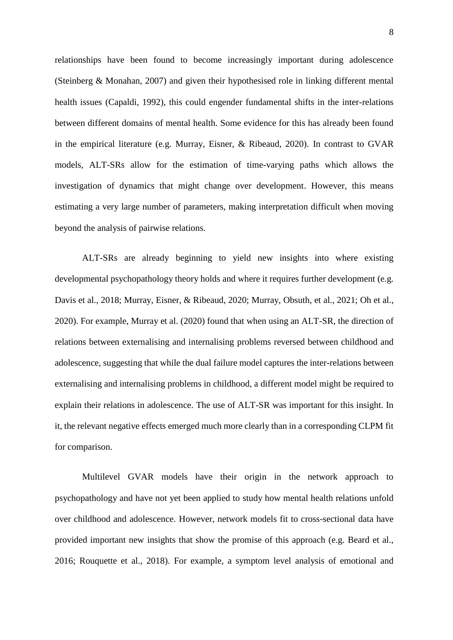relationships have been found to become increasingly important during adolescence (Steinberg & Monahan, 2007) and given their hypothesised role in linking different mental health issues (Capaldi, 1992), this could engender fundamental shifts in the inter-relations between different domains of mental health. Some evidence for this has already been found in the empirical literature (e.g. Murray, Eisner, & Ribeaud, 2020). In contrast to GVAR models, ALT-SRs allow for the estimation of time-varying paths which allows the investigation of dynamics that might change over development. However, this means estimating a very large number of parameters, making interpretation difficult when moving beyond the analysis of pairwise relations.

ALT-SRs are already beginning to yield new insights into where existing developmental psychopathology theory holds and where it requires further development (e.g. Davis et al., 2018; Murray, Eisner, & Ribeaud, 2020; Murray, Obsuth, et al., 2021; Oh et al., 2020). For example, Murray et al. (2020) found that when using an ALT-SR, the direction of relations between externalising and internalising problems reversed between childhood and adolescence, suggesting that while the dual failure model captures the inter-relations between externalising and internalising problems in childhood, a different model might be required to explain their relations in adolescence. The use of ALT-SR was important for this insight. In it, the relevant negative effects emerged much more clearly than in a corresponding CLPM fit for comparison.

Multilevel GVAR models have their origin in the network approach to psychopathology and have not yet been applied to study how mental health relations unfold over childhood and adolescence. However, network models fit to cross-sectional data have provided important new insights that show the promise of this approach (e.g. Beard et al., 2016; Rouquette et al., 2018). For example, a symptom level analysis of emotional and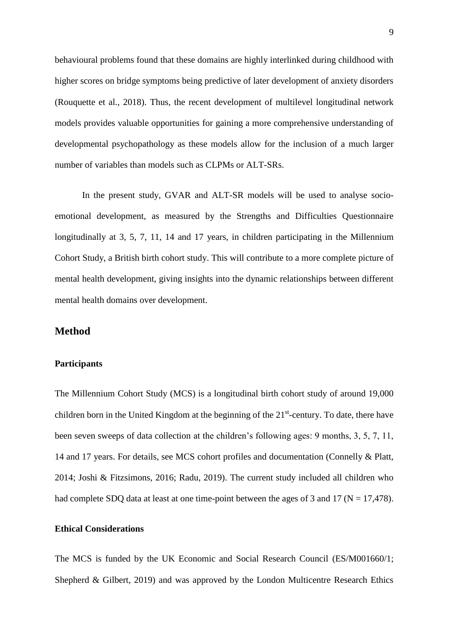behavioural problems found that these domains are highly interlinked during childhood with higher scores on bridge symptoms being predictive of later development of anxiety disorders (Rouquette et al., 2018). Thus, the recent development of multilevel longitudinal network models provides valuable opportunities for gaining a more comprehensive understanding of developmental psychopathology as these models allow for the inclusion of a much larger number of variables than models such as CLPMs or ALT-SRs.

In the present study, GVAR and ALT-SR models will be used to analyse socioemotional development, as measured by the Strengths and Difficulties Questionnaire longitudinally at 3, 5, 7, 11, 14 and 17 years, in children participating in the Millennium Cohort Study, a British birth cohort study. This will contribute to a more complete picture of mental health development, giving insights into the dynamic relationships between different mental health domains over development.

## **Method**

#### **Participants**

The Millennium Cohort Study (MCS) is a longitudinal birth cohort study of around 19,000 children born in the United Kingdom at the beginning of the  $21<sup>st</sup>$ -century. To date, there have been seven sweeps of data collection at the children's following ages: 9 months, 3, 5, 7, 11, 14 and 17 years. For details, see MCS cohort profiles and documentation (Connelly & Platt, 2014; Joshi & Fitzsimons, 2016; Radu, 2019). The current study included all children who had complete SDQ data at least at one time-point between the ages of 3 and 17 ( $N = 17,478$ ).

## **Ethical Considerations**

The MCS is funded by the UK Economic and Social Research Council (ES/M001660/1; Shepherd & Gilbert, 2019) and was approved by the London Multicentre Research Ethics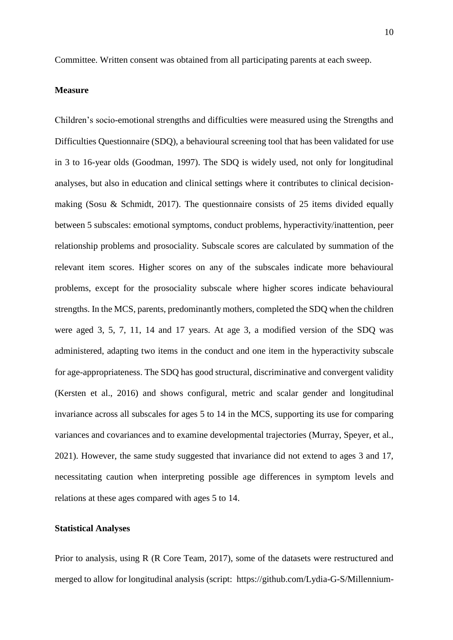Committee. Written consent was obtained from all participating parents at each sweep.

## **Measure**

Children's socio-emotional strengths and difficulties were measured using the Strengths and Difficulties Questionnaire (SDQ), a behavioural screening tool that has been validated for use in 3 to 16-year olds (Goodman, 1997). The SDQ is widely used, not only for longitudinal analyses, but also in education and clinical settings where it contributes to clinical decisionmaking (Sosu & Schmidt, 2017). The questionnaire consists of 25 items divided equally between 5 subscales: emotional symptoms, conduct problems, hyperactivity/inattention, peer relationship problems and prosociality. Subscale scores are calculated by summation of the relevant item scores. Higher scores on any of the subscales indicate more behavioural problems, except for the prosociality subscale where higher scores indicate behavioural strengths. In the MCS, parents, predominantly mothers, completed the SDQ when the children were aged 3, 5, 7, 11, 14 and 17 years. At age 3, a modified version of the SDQ was administered, adapting two items in the conduct and one item in the hyperactivity subscale for age-appropriateness. The SDQ has good structural, discriminative and convergent validity (Kersten et al., 2016) and shows configural, metric and scalar gender and longitudinal invariance across all subscales for ages 5 to 14 in the MCS, supporting its use for comparing variances and covariances and to examine developmental trajectories (Murray, Speyer, et al., 2021). However, the same study suggested that invariance did not extend to ages 3 and 17, necessitating caution when interpreting possible age differences in symptom levels and relations at these ages compared with ages 5 to 14.

#### **Statistical Analyses**

Prior to analysis, using R (R Core Team, 2017), some of the datasets were restructured and merged to allow for longitudinal analysis (script: [https://github.com/Lydia-G-S/Millennium-](https://github.com/Lydia-G-S/Millennium-Cohort-Study-Data-Restructuring-in-R)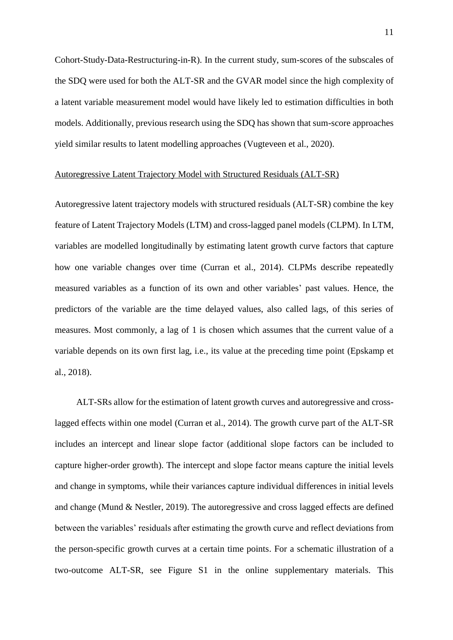[Cohort-Study-Data-Restructuring-in-R\)](https://github.com/Lydia-G-S/Millennium-Cohort-Study-Data-Restructuring-in-R). In the current study, sum-scores of the subscales of the SDQ were used for both the ALT-SR and the GVAR model since the high complexity of a latent variable measurement model would have likely led to estimation difficulties in both models. Additionally, previous research using the SDQ has shown that sum-score approaches yield similar results to latent modelling approaches (Vugteveen et al., 2020).

## Autoregressive Latent Trajectory Model with Structured Residuals (ALT-SR)

Autoregressive latent trajectory models with structured residuals (ALT-SR) combine the key feature of Latent Trajectory Models (LTM) and cross-lagged panel models (CLPM). In LTM, variables are modelled longitudinally by estimating latent growth curve factors that capture how one variable changes over time (Curran et al., 2014). CLPMs describe repeatedly measured variables as a function of its own and other variables' past values. Hence, the predictors of the variable are the time delayed values, also called lags, of this series of measures. Most commonly, a lag of 1 is chosen which assumes that the current value of a variable depends on its own first lag, i.e., its value at the preceding time point (Epskamp et al., 2018).

ALT-SRs allow for the estimation of latent growth curves and autoregressive and crosslagged effects within one model (Curran et al., 2014). The growth curve part of the ALT-SR includes an intercept and linear slope factor (additional slope factors can be included to capture higher-order growth). The intercept and slope factor means capture the initial levels and change in symptoms, while their variances capture individual differences in initial levels and change (Mund & Nestler, 2019). The autoregressive and cross lagged effects are defined between the variables' residuals after estimating the growth curve and reflect deviations from the person-specific growth curves at a certain time points. For a schematic illustration of a two-outcome ALT-SR, see Figure S1 in the online supplementary materials. This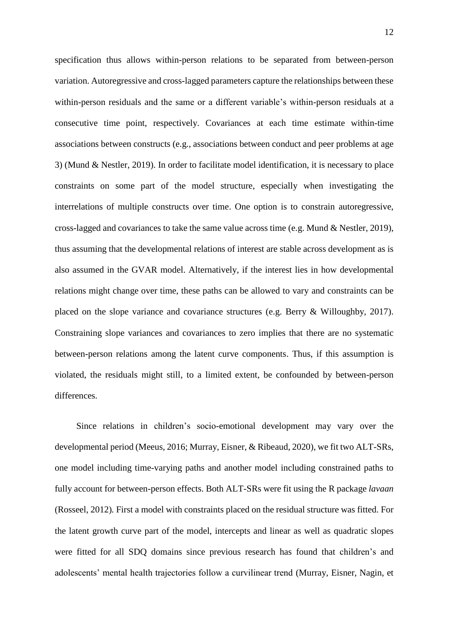specification thus allows within-person relations to be separated from between-person variation. Autoregressive and cross-lagged parameters capture the relationships between these within-person residuals and the same or a different variable's within-person residuals at a consecutive time point, respectively. Covariances at each time estimate within-time associations between constructs (e.g., associations between conduct and peer problems at age 3) (Mund & Nestler, 2019). In order to facilitate model identification, it is necessary to place constraints on some part of the model structure, especially when investigating the interrelations of multiple constructs over time. One option is to constrain autoregressive, cross-lagged and covariances to take the same value across time (e.g. Mund & Nestler, 2019), thus assuming that the developmental relations of interest are stable across development as is also assumed in the GVAR model. Alternatively, if the interest lies in how developmental relations might change over time, these paths can be allowed to vary and constraints can be placed on the slope variance and covariance structures (e.g. Berry & Willoughby, 2017). Constraining slope variances and covariances to zero implies that there are no systematic between-person relations among the latent curve components. Thus, if this assumption is violated, the residuals might still, to a limited extent, be confounded by between-person differences.

Since relations in children's socio-emotional development may vary over the developmental period (Meeus, 2016; Murray, Eisner, & Ribeaud, 2020), we fit two ALT-SRs, one model including time-varying paths and another model including constrained paths to fully account for between-person effects. Both ALT-SRs were fit using the R package *lavaan*  (Rosseel, 2012)*.* First a model with constraints placed on the residual structure was fitted. For the latent growth curve part of the model, intercepts and linear as well as quadratic slopes were fitted for all SDQ domains since previous research has found that children's and adolescents' mental health trajectories follow a curvilinear trend (Murray, Eisner, Nagin, et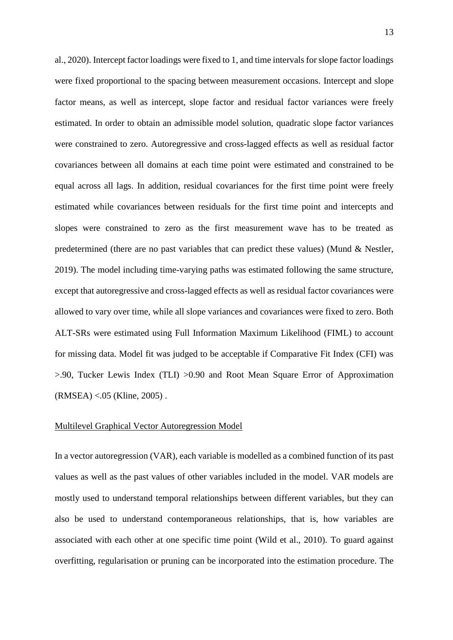al., 2020). Intercept factor loadings were fixed to 1, and time intervals for slope factor loadings were fixed proportional to the spacing between measurement occasions. Intercept and slope factor means, as well as intercept, slope factor and residual factor variances were freely estimated. In order to obtain an admissible model solution, quadratic slope factor variances were constrained to zero. Autoregressive and cross-lagged effects as well as residual factor covariances between all domains at each time point were estimated and constrained to be equal across all lags. In addition, residual covariances for the first time point were freely estimated while covariances between residuals for the first time point and intercepts and slopes were constrained to zero as the first measurement wave has to be treated as predetermined (there are no past variables that can predict these values) (Mund & Nestler, 2019). The model including time-varying paths was estimated following the same structure, except that autoregressive and cross-lagged effects as well as residual factor covariances were allowed to vary over time, while all slope variances and covariances were fixed to zero. Both ALT-SRs were estimated using Full Information Maximum Likelihood (FIML) to account for missing data. Model fit was judged to be acceptable if Comparative Fit Index (CFI) was >.90, Tucker Lewis Index (TLI) >0.90 and Root Mean Square Error of Approximation (RMSEA) <.05 (Kline, 2005) .

#### Multilevel Graphical Vector Autoregression Model

In a vector autoregression (VAR), each variable is modelled as a combined function of its past values as well as the past values of other variables included in the model. VAR models are mostly used to understand temporal relationships between different variables, but they can also be used to understand contemporaneous relationships, that is, how variables are associated with each other at one specific time point (Wild et al., 2010). To guard against overfitting, regularisation or pruning can be incorporated into the estimation procedure. The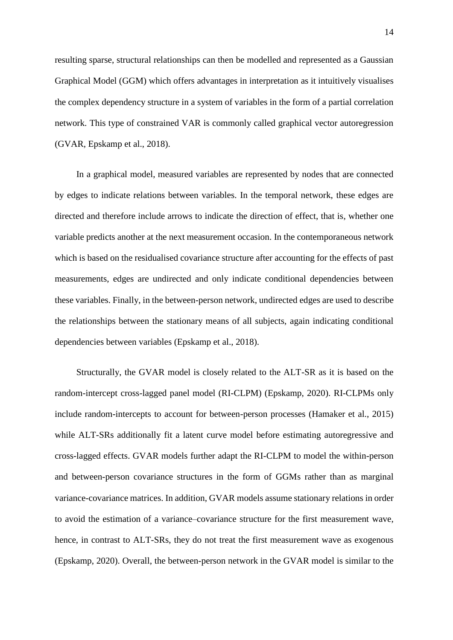resulting sparse, structural relationships can then be modelled and represented as a Gaussian Graphical Model (GGM) which offers advantages in interpretation as it intuitively visualises the complex dependency structure in a system of variables in the form of a partial correlation network. This type of constrained VAR is commonly called graphical vector autoregression (GVAR, Epskamp et al., 2018).

In a graphical model, measured variables are represented by nodes that are connected by edges to indicate relations between variables. In the temporal network, these edges are directed and therefore include arrows to indicate the direction of effect, that is, whether one variable predicts another at the next measurement occasion. In the contemporaneous network which is based on the residualised covariance structure after accounting for the effects of past measurements, edges are undirected and only indicate conditional dependencies between these variables. Finally, in the between-person network, undirected edges are used to describe the relationships between the stationary means of all subjects, again indicating conditional dependencies between variables (Epskamp et al., 2018).

Structurally, the GVAR model is closely related to the ALT-SR as it is based on the random-intercept cross-lagged panel model (RI-CLPM) (Epskamp, 2020). RI-CLPMs only include random-intercepts to account for between-person processes (Hamaker et al., 2015) while ALT-SRs additionally fit a latent curve model before estimating autoregressive and cross-lagged effects. GVAR models further adapt the RI-CLPM to model the within-person and between-person covariance structures in the form of GGMs rather than as marginal variance-covariance matrices. In addition, GVAR models assume stationary relations in order to avoid the estimation of a variance–covariance structure for the first measurement wave, hence, in contrast to ALT-SRs, they do not treat the first measurement wave as exogenous (Epskamp, 2020). Overall, the between-person network in the GVAR model is similar to the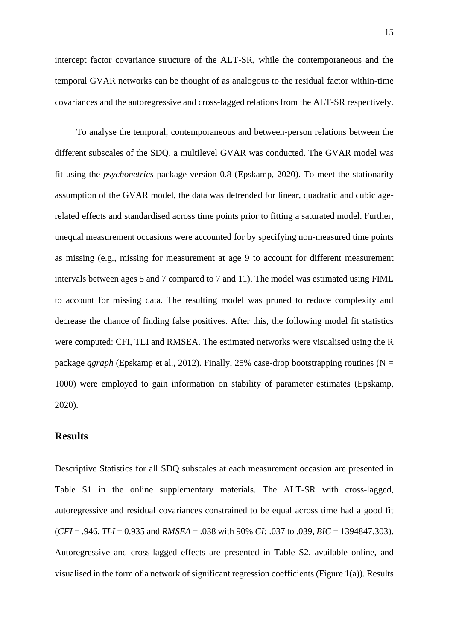intercept factor covariance structure of the ALT-SR, while the contemporaneous and the temporal GVAR networks can be thought of as analogous to the residual factor within-time covariances and the autoregressive and cross-lagged relations from the ALT-SR respectively.

To analyse the temporal, contemporaneous and between-person relations between the different subscales of the SDQ, a multilevel GVAR was conducted. The GVAR model was fit using the *psychonetrics* package version 0.8 (Epskamp, 2020). To meet the stationarity assumption of the GVAR model, the data was detrended for linear, quadratic and cubic agerelated effects and standardised across time points prior to fitting a saturated model. Further, unequal measurement occasions were accounted for by specifying non-measured time points as missing (e.g., missing for measurement at age 9 to account for different measurement intervals between ages 5 and 7 compared to 7 and 11). The model was estimated using FIML to account for missing data. The resulting model was pruned to reduce complexity and decrease the chance of finding false positives. After this, the following model fit statistics were computed: CFI, TLI and RMSEA. The estimated networks were visualised using the R package *qgraph* (Epskamp et al., 2012)*.* Finally, 25% case-drop bootstrapping routines (N = 1000) were employed to gain information on stability of parameter estimates (Epskamp, 2020).

## **Results**

Descriptive Statistics for all SDQ subscales at each measurement occasion are presented in Table S1 in the online supplementary materials. The ALT-SR with cross-lagged, autoregressive and residual covariances constrained to be equal across time had a good fit (*CFI* = .946, *TLI* = 0.935 and *RMSEA* = .038 with 90% *CI:* .037 to .039, *BIC* = 1394847.303). Autoregressive and cross-lagged effects are presented in Table S2, available online, and visualised in the form of a network of significant regression coefficients (Figure 1(a)). Results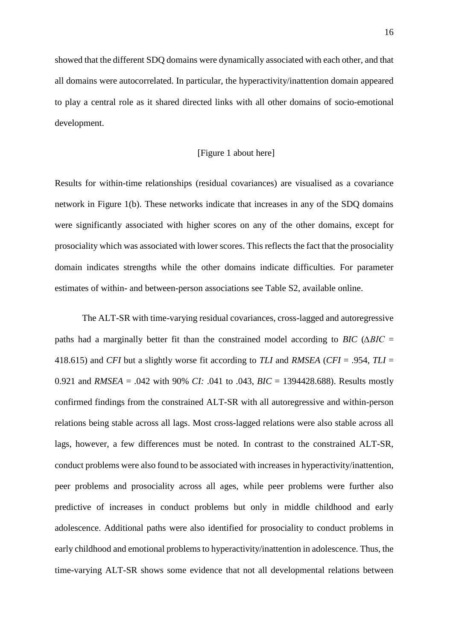showed that the different SDQ domains were dynamically associated with each other, and that all domains were autocorrelated. In particular, the hyperactivity/inattention domain appeared to play a central role as it shared directed links with all other domains of socio-emotional development.

### [Figure 1 about here]

Results for within-time relationships (residual covariances) are visualised as a covariance network in Figure 1(b). These networks indicate that increases in any of the SDQ domains were significantly associated with higher scores on any of the other domains, except for prosociality which was associated with lower scores. This reflects the fact that the prosociality domain indicates strengths while the other domains indicate difficulties. For parameter estimates of within- and between-person associations see Table S2, available online.

The ALT-SR with time-varying residual covariances, cross-lagged and autoregressive paths had a marginally better fit than the constrained model according to *BIC* (*∆BIC* = 418.615) and *CFI* but a slightly worse fit according to *TLI* and *RMSEA* (*CFI* = .954, *TLI* = 0.921 and *RMSEA* = .042 with 90% *CI:* .041 to .043, *BIC* = 1394428.688). Results mostly confirmed findings from the constrained ALT-SR with all autoregressive and within-person relations being stable across all lags. Most cross-lagged relations were also stable across all lags, however, a few differences must be noted. In contrast to the constrained ALT-SR, conduct problems were also found to be associated with increases in hyperactivity/inattention, peer problems and prosociality across all ages, while peer problems were further also predictive of increases in conduct problems but only in middle childhood and early adolescence. Additional paths were also identified for prosociality to conduct problems in early childhood and emotional problems to hyperactivity/inattention in adolescence. Thus, the time-varying ALT-SR shows some evidence that not all developmental relations between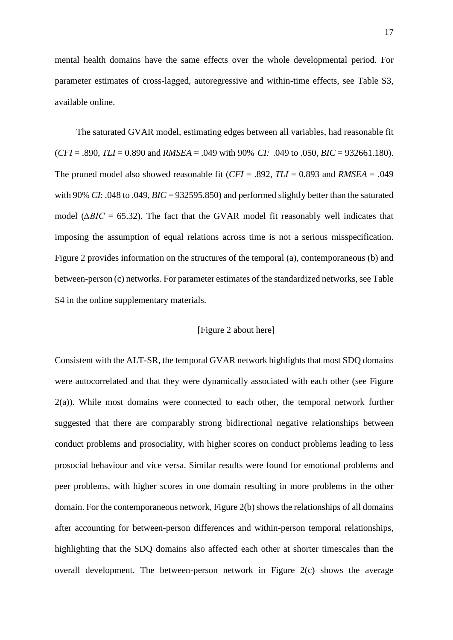mental health domains have the same effects over the whole developmental period. For parameter estimates of cross-lagged, autoregressive and within-time effects, see Table S3, available online.

The saturated GVAR model, estimating edges between all variables, had reasonable fit (*CFI* = .890, *TLI* = 0.890 and *RMSEA* = .049 with 90% *CI:* .049 to .050, *BIC* = 932661.180). The pruned model also showed reasonable fit (*CFI* = .892, *TLI* = 0.893 and *RMSEA* = .049 with 90% *CI*: .048 to .049, *BIC* = 932595.850) and performed slightly better than the saturated model ( $\triangle BIC = 65.32$ ). The fact that the GVAR model fit reasonably well indicates that imposing the assumption of equal relations across time is not a serious misspecification. Figure 2 provides information on the structures of the temporal (a), contemporaneous (b) and between-person (c) networks. For parameter estimates of the standardized networks, see Table S4 in the online supplementary materials.

## [Figure 2 about here]

Consistent with the ALT-SR, the temporal GVAR network highlights that most SDQ domains were autocorrelated and that they were dynamically associated with each other (see Figure 2(a)). While most domains were connected to each other, the temporal network further suggested that there are comparably strong bidirectional negative relationships between conduct problems and prosociality, with higher scores on conduct problems leading to less prosocial behaviour and vice versa. Similar results were found for emotional problems and peer problems, with higher scores in one domain resulting in more problems in the other domain. For the contemporaneous network, Figure 2(b) shows the relationships of all domains after accounting for between-person differences and within-person temporal relationships, highlighting that the SDQ domains also affected each other at shorter timescales than the overall development. The between-person network in Figure 2(c) shows the average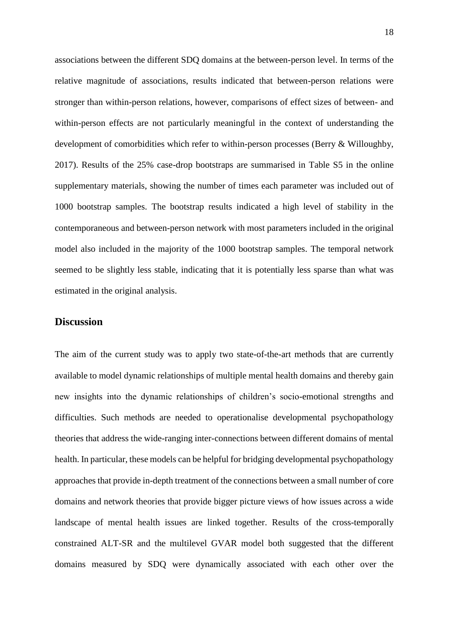associations between the different SDQ domains at the between-person level. In terms of the relative magnitude of associations, results indicated that between-person relations were stronger than within-person relations, however, comparisons of effect sizes of between- and within-person effects are not particularly meaningful in the context of understanding the development of comorbidities which refer to within-person processes (Berry & Willoughby, 2017). Results of the 25% case-drop bootstraps are summarised in Table S5 in the online supplementary materials, showing the number of times each parameter was included out of 1000 bootstrap samples. The bootstrap results indicated a high level of stability in the contemporaneous and between-person network with most parameters included in the original model also included in the majority of the 1000 bootstrap samples. The temporal network seemed to be slightly less stable, indicating that it is potentially less sparse than what was estimated in the original analysis.

## **Discussion**

The aim of the current study was to apply two state-of-the-art methods that are currently available to model dynamic relationships of multiple mental health domains and thereby gain new insights into the dynamic relationships of children's socio-emotional strengths and difficulties. Such methods are needed to operationalise developmental psychopathology theories that address the wide-ranging inter-connections between different domains of mental health. In particular, these models can be helpful for bridging developmental psychopathology approaches that provide in-depth treatment of the connections between a small number of core domains and network theories that provide bigger picture views of how issues across a wide landscape of mental health issues are linked together. Results of the cross-temporally constrained ALT-SR and the multilevel GVAR model both suggested that the different domains measured by SDQ were dynamically associated with each other over the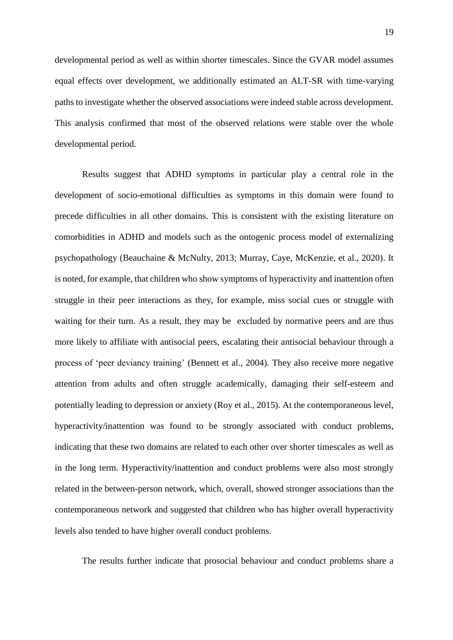developmental period as well as within shorter timescales. Since the GVAR model assumes equal effects over development, we additionally estimated an ALT-SR with time-varying paths to investigate whether the observed associations were indeed stable across development. This analysis confirmed that most of the observed relations were stable over the whole developmental period.

Results suggest that ADHD symptoms in particular play a central role in the development of socio-emotional difficulties as symptoms in this domain were found to precede difficulties in all other domains. This is consistent with the existing literature on comorbidities in ADHD and models such as the ontogenic process model of externalizing psychopathology (Beauchaine & McNulty, 2013; Murray, Caye, McKenzie, et al., 2020). It is noted, for example, that children who show symptoms of hyperactivity and inattention often struggle in their peer interactions as they, for example, miss social cues or struggle with waiting for their turn. As a result, they may be excluded by normative peers and are thus more likely to affiliate with antisocial peers, escalating their antisocial behaviour through a process of 'peer deviancy training' (Bennett et al., 2004). They also receive more negative attention from adults and often struggle academically, damaging their self-esteem and potentially leading to depression or anxiety (Roy et al., 2015). At the contemporaneous level, hyperactivity/inattention was found to be strongly associated with conduct problems, indicating that these two domains are related to each other over shorter timescales as well as in the long term. Hyperactivity/inattention and conduct problems were also most strongly related in the between-person network, which, overall, showed stronger associations than the contemporaneous network and suggested that children who has higher overall hyperactivity levels also tended to have higher overall conduct problems.

The results further indicate that prosocial behaviour and conduct problems share a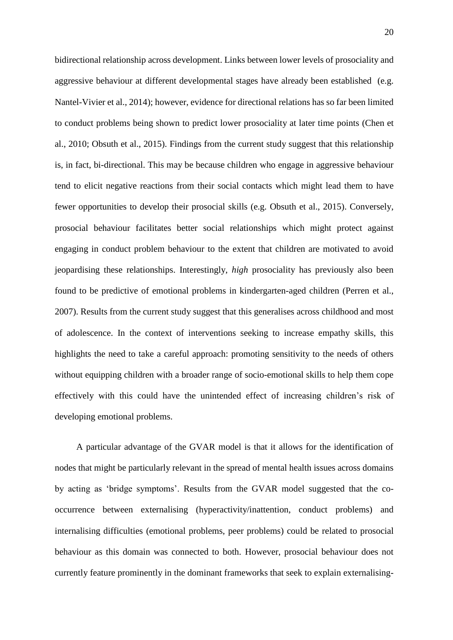bidirectional relationship across development. Links between lower levels of prosociality and aggressive behaviour at different developmental stages have already been established (e.g. Nantel-Vivier et al., 2014); however, evidence for directional relations has so far been limited to conduct problems being shown to predict lower prosociality at later time points (Chen et al., 2010; Obsuth et al., 2015). Findings from the current study suggest that this relationship is, in fact, bi-directional. This may be because children who engage in aggressive behaviour tend to elicit negative reactions from their social contacts which might lead them to have fewer opportunities to develop their prosocial skills (e.g. Obsuth et al., 2015). Conversely, prosocial behaviour facilitates better social relationships which might protect against engaging in conduct problem behaviour to the extent that children are motivated to avoid jeopardising these relationships. Interestingly, *high* prosociality has previously also been found to be predictive of emotional problems in kindergarten-aged children (Perren et al., 2007). Results from the current study suggest that this generalises across childhood and most of adolescence. In the context of interventions seeking to increase empathy skills, this highlights the need to take a careful approach: promoting sensitivity to the needs of others without equipping children with a broader range of socio-emotional skills to help them cope effectively with this could have the unintended effect of increasing children's risk of developing emotional problems.

A particular advantage of the GVAR model is that it allows for the identification of nodes that might be particularly relevant in the spread of mental health issues across domains by acting as 'bridge symptoms'. Results from the GVAR model suggested that the cooccurrence between externalising (hyperactivity/inattention, conduct problems) and internalising difficulties (emotional problems, peer problems) could be related to prosocial behaviour as this domain was connected to both. However, prosocial behaviour does not currently feature prominently in the dominant frameworks that seek to explain externalising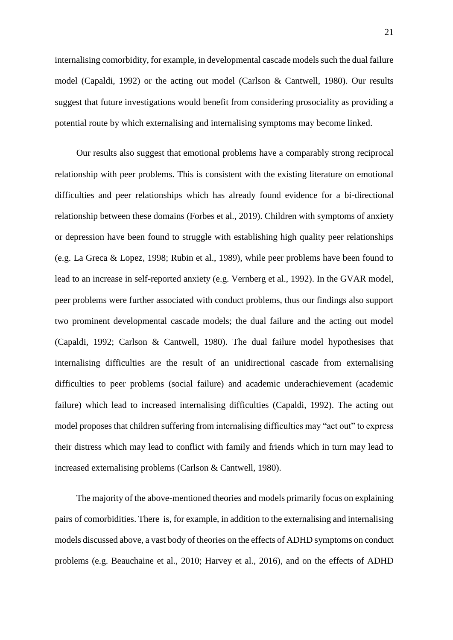internalising comorbidity, for example, in developmental cascade models such the dual failure model (Capaldi, 1992) or the acting out model (Carlson & Cantwell, 1980). Our results suggest that future investigations would benefit from considering prosociality as providing a potential route by which externalising and internalising symptoms may become linked.

Our results also suggest that emotional problems have a comparably strong reciprocal relationship with peer problems. This is consistent with the existing literature on emotional difficulties and peer relationships which has already found evidence for a bi-directional relationship between these domains (Forbes et al., 2019). Children with symptoms of anxiety or depression have been found to struggle with establishing high quality peer relationships (e.g. La Greca & Lopez, 1998; Rubin et al., 1989), while peer problems have been found to lead to an increase in self-reported anxiety (e.g. Vernberg et al., 1992). In the GVAR model, peer problems were further associated with conduct problems, thus our findings also support two prominent developmental cascade models; the dual failure and the acting out model (Capaldi, 1992; Carlson & Cantwell, 1980). The dual failure model hypothesises that internalising difficulties are the result of an unidirectional cascade from externalising difficulties to peer problems (social failure) and academic underachievement (academic failure) which lead to increased internalising difficulties (Capaldi, 1992). The acting out model proposes that children suffering from internalising difficulties may "act out" to express their distress which may lead to conflict with family and friends which in turn may lead to increased externalising problems (Carlson & Cantwell, 1980).

The majority of the above-mentioned theories and models primarily focus on explaining pairs of comorbidities. There is, for example, in addition to the externalising and internalising models discussed above, a vast body of theories on the effects of ADHD symptoms on conduct problems (e.g. Beauchaine et al., 2010; Harvey et al., 2016), and on the effects of ADHD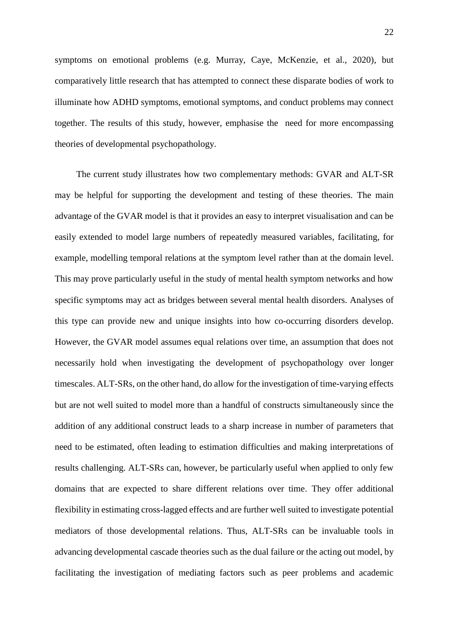symptoms on emotional problems (e.g. Murray, Caye, McKenzie, et al., 2020), but comparatively little research that has attempted to connect these disparate bodies of work to illuminate how ADHD symptoms, emotional symptoms, and conduct problems may connect together. The results of this study, however, emphasise the need for more encompassing theories of developmental psychopathology.

The current study illustrates how two complementary methods: GVAR and ALT-SR may be helpful for supporting the development and testing of these theories. The main advantage of the GVAR model is that it provides an easy to interpret visualisation and can be easily extended to model large numbers of repeatedly measured variables, facilitating, for example, modelling temporal relations at the symptom level rather than at the domain level. This may prove particularly useful in the study of mental health symptom networks and how specific symptoms may act as bridges between several mental health disorders. Analyses of this type can provide new and unique insights into how co-occurring disorders develop. However, the GVAR model assumes equal relations over time, an assumption that does not necessarily hold when investigating the development of psychopathology over longer timescales. ALT-SRs, on the other hand, do allow for the investigation of time-varying effects but are not well suited to model more than a handful of constructs simultaneously since the addition of any additional construct leads to a sharp increase in number of parameters that need to be estimated, often leading to estimation difficulties and making interpretations of results challenging. ALT-SRs can, however, be particularly useful when applied to only few domains that are expected to share different relations over time. They offer additional flexibility in estimating cross-lagged effects and are further well suited to investigate potential mediators of those developmental relations. Thus, ALT-SRs can be invaluable tools in advancing developmental cascade theories such as the dual failure or the acting out model, by facilitating the investigation of mediating factors such as peer problems and academic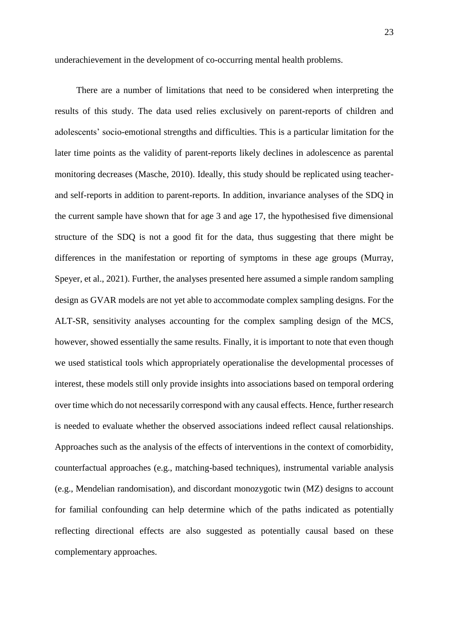underachievement in the development of co-occurring mental health problems.

There are a number of limitations that need to be considered when interpreting the results of this study. The data used relies exclusively on parent-reports of children and adolescents' socio-emotional strengths and difficulties. This is a particular limitation for the later time points as the validity of parent-reports likely declines in adolescence as parental monitoring decreases (Masche, 2010). Ideally, this study should be replicated using teacherand self-reports in addition to parent-reports. In addition, invariance analyses of the SDQ in the current sample have shown that for age 3 and age 17, the hypothesised five dimensional structure of the SDQ is not a good fit for the data, thus suggesting that there might be differences in the manifestation or reporting of symptoms in these age groups (Murray, Speyer, et al., 2021). Further, the analyses presented here assumed a simple random sampling design as GVAR models are not yet able to accommodate complex sampling designs. For the ALT-SR, sensitivity analyses accounting for the complex sampling design of the MCS, however, showed essentially the same results. Finally, it is important to note that even though we used statistical tools which appropriately operationalise the developmental processes of interest, these models still only provide insights into associations based on temporal ordering over time which do not necessarily correspond with any causal effects. Hence, further research is needed to evaluate whether the observed associations indeed reflect causal relationships. Approaches such as the analysis of the effects of interventions in the context of comorbidity, counterfactual approaches (e.g., matching-based techniques), instrumental variable analysis (e.g., Mendelian randomisation), and discordant monozygotic twin (MZ) designs to account for familial confounding can help determine which of the paths indicated as potentially reflecting directional effects are also suggested as potentially causal based on these complementary approaches.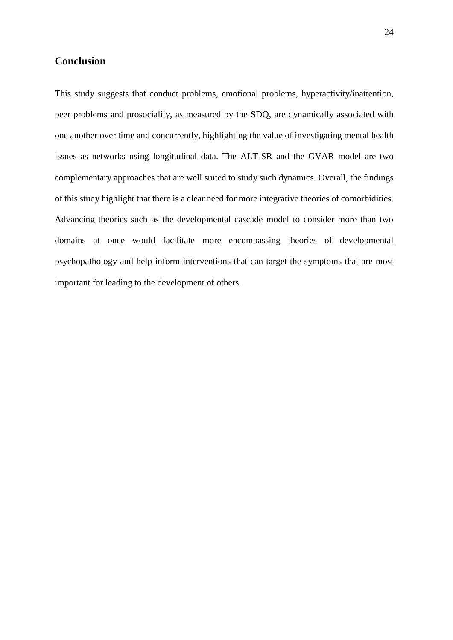# **Conclusion**

This study suggests that conduct problems, emotional problems, hyperactivity/inattention, peer problems and prosociality, as measured by the SDQ, are dynamically associated with one another over time and concurrently, highlighting the value of investigating mental health issues as networks using longitudinal data. The ALT-SR and the GVAR model are two complementary approaches that are well suited to study such dynamics. Overall, the findings of this study highlight that there is a clear need for more integrative theories of comorbidities. Advancing theories such as the developmental cascade model to consider more than two domains at once would facilitate more encompassing theories of developmental psychopathology and help inform interventions that can target the symptoms that are most important for leading to the development of others.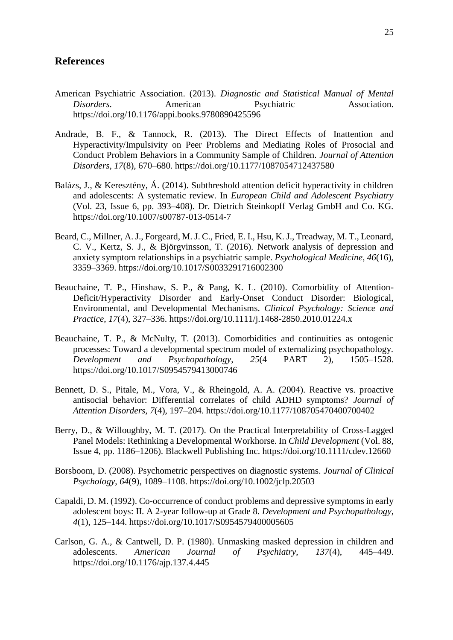# **References**

- American Psychiatric Association. (2013). *Diagnostic and Statistical Manual of Mental Disorders*. American Psychiatric Association. https://doi.org/10.1176/appi.books.9780890425596
- Andrade, B. F., & Tannock, R. (2013). The Direct Effects of Inattention and Hyperactivity/Impulsivity on Peer Problems and Mediating Roles of Prosocial and Conduct Problem Behaviors in a Community Sample of Children. *Journal of Attention Disorders*, *17*(8), 670–680. https://doi.org/10.1177/1087054712437580
- Balázs, J., & Keresztény, Á. (2014). Subthreshold attention deficit hyperactivity in children and adolescents: A systematic review. In *European Child and Adolescent Psychiatry* (Vol. 23, Issue 6, pp. 393–408). Dr. Dietrich Steinkopff Verlag GmbH and Co. KG. https://doi.org/10.1007/s00787-013-0514-7
- Beard, C., Millner, A. J., Forgeard, M. J. C., Fried, E. I., Hsu, K. J., Treadway, M. T., Leonard, C. V., Kertz, S. J., & Björgvinsson, T. (2016). Network analysis of depression and anxiety symptom relationships in a psychiatric sample. *Psychological Medicine*, *46*(16), 3359–3369. https://doi.org/10.1017/S0033291716002300
- Beauchaine, T. P., Hinshaw, S. P., & Pang, K. L. (2010). Comorbidity of Attention-Deficit/Hyperactivity Disorder and Early-Onset Conduct Disorder: Biological, Environmental, and Developmental Mechanisms. *Clinical Psychology: Science and Practice*, *17*(4), 327–336. https://doi.org/10.1111/j.1468-2850.2010.01224.x
- Beauchaine, T. P., & McNulty, T. (2013). Comorbidities and continuities as ontogenic processes: Toward a developmental spectrum model of externalizing psychopathology. *Development and Psychopathology*, *25*(4 PART 2), 1505–1528. https://doi.org/10.1017/S0954579413000746
- Bennett, D. S., Pitale, M., Vora, V., & Rheingold, A. A. (2004). Reactive vs. proactive antisocial behavior: Differential correlates of child ADHD symptoms? *Journal of Attention Disorders*, *7*(4), 197–204. https://doi.org/10.1177/108705470400700402
- Berry, D., & Willoughby, M. T. (2017). On the Practical Interpretability of Cross-Lagged Panel Models: Rethinking a Developmental Workhorse. In *Child Development* (Vol. 88, Issue 4, pp. 1186–1206). Blackwell Publishing Inc. https://doi.org/10.1111/cdev.12660
- Borsboom, D. (2008). Psychometric perspectives on diagnostic systems. *Journal of Clinical Psychology*, *64*(9), 1089–1108. https://doi.org/10.1002/jclp.20503
- Capaldi, D. M. (1992). Co-occurrence of conduct problems and depressive symptoms in early adolescent boys: II. A 2-year follow-up at Grade 8. *Development and Psychopathology*, *4*(1), 125–144. https://doi.org/10.1017/S0954579400005605
- Carlson, G. A., & Cantwell, D. P. (1980). Unmasking masked depression in children and adolescents. *American Journal of Psychiatry*, *137*(4), 445–449. https://doi.org/10.1176/ajp.137.4.445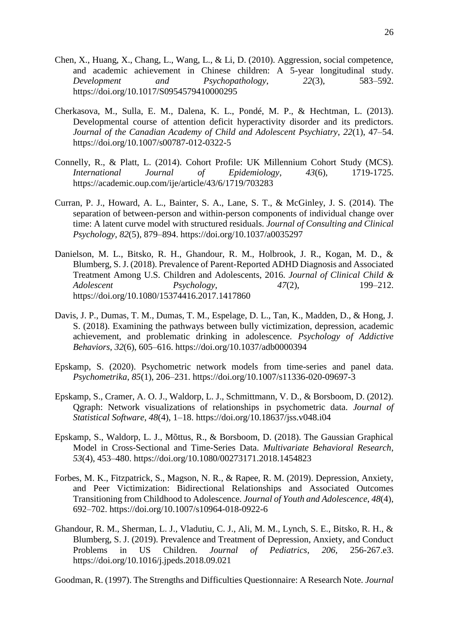- Chen, X., Huang, X., Chang, L., Wang, L., & Li, D. (2010). Aggression, social competence, and academic achievement in Chinese children: A 5-year longitudinal study. *Development and Psychopathology*, *22*(3), 583–592. https://doi.org/10.1017/S0954579410000295
- Cherkasova, M., Sulla, E. M., Dalena, K. L., Pondé, M. P., & Hechtman, L. (2013). Developmental course of attention deficit hyperactivity disorder and its predictors. *Journal of the Canadian Academy of Child and Adolescent Psychiatry*, *22*(1), 47–54. https://doi.org/10.1007/s00787-012-0322-5
- Connelly, R., & Platt, L. (2014). Cohort Profile: UK Millennium Cohort Study (MCS). *International Journal of Epidemiology*, *43*(6), 1719-1725. https://academic.oup.com/ije/article/43/6/1719/703283
- Curran, P. J., Howard, A. L., Bainter, S. A., Lane, S. T., & McGinley, J. S. (2014). The separation of between-person and within-person components of individual change over time: A latent curve model with structured residuals. *Journal of Consulting and Clinical Psychology*, *82*(5), 879–894. https://doi.org/10.1037/a0035297
- Danielson, M. L., Bitsko, R. H., Ghandour, R. M., Holbrook, J. R., Kogan, M. D., & Blumberg, S. J. (2018). Prevalence of Parent-Reported ADHD Diagnosis and Associated Treatment Among U.S. Children and Adolescents, 2016. *Journal of Clinical Child & Adolescent Psychology*, *47*(2), 199–212. https://doi.org/10.1080/15374416.2017.1417860
- Davis, J. P., Dumas, T. M., Dumas, T. M., Espelage, D. L., Tan, K., Madden, D., & Hong, J. S. (2018). Examining the pathways between bully victimization, depression, academic achievement, and problematic drinking in adolescence. *Psychology of Addictive Behaviors*, *32*(6), 605–616. https://doi.org/10.1037/adb0000394
- Epskamp, S. (2020). Psychometric network models from time-series and panel data. *Psychometrika*, *85*(1), 206–231. https://doi.org/10.1007/s11336-020-09697-3
- Epskamp, S., Cramer, A. O. J., Waldorp, L. J., Schmittmann, V. D., & Borsboom, D. (2012). Qgraph: Network visualizations of relationships in psychometric data. *Journal of Statistical Software*, *48*(4), 1–18. https://doi.org/10.18637/jss.v048.i04
- Epskamp, S., Waldorp, L. J., Mõttus, R., & Borsboom, D. (2018). The Gaussian Graphical Model in Cross-Sectional and Time-Series Data. *Multivariate Behavioral Research*, *53*(4), 453–480. https://doi.org/10.1080/00273171.2018.1454823
- Forbes, M. K., Fitzpatrick, S., Magson, N. R., & Rapee, R. M. (2019). Depression, Anxiety, and Peer Victimization: Bidirectional Relationships and Associated Outcomes Transitioning from Childhood to Adolescence. *Journal of Youth and Adolescence*, *48*(4), 692–702. https://doi.org/10.1007/s10964-018-0922-6
- Ghandour, R. M., Sherman, L. J., Vladutiu, C. J., Ali, M. M., Lynch, S. E., Bitsko, R. H., & Blumberg, S. J. (2019). Prevalence and Treatment of Depression, Anxiety, and Conduct Problems in US Children. *Journal of Pediatrics*, *206*, 256-267.e3. https://doi.org/10.1016/j.jpeds.2018.09.021

Goodman, R. (1997). The Strengths and Difficulties Questionnaire: A Research Note. *Journal*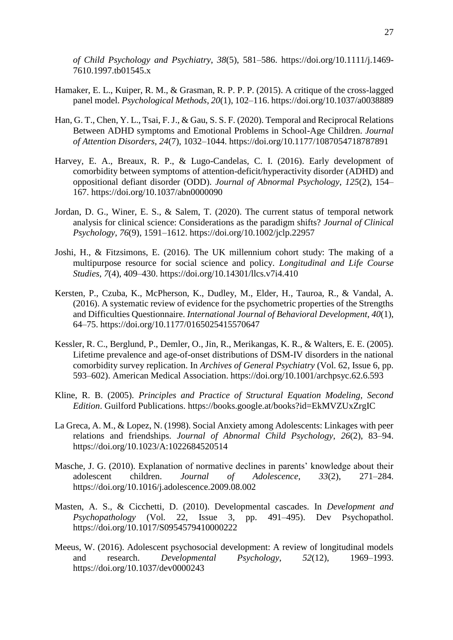*of Child Psychology and Psychiatry*, *38*(5), 581–586. https://doi.org/10.1111/j.1469- 7610.1997.tb01545.x

- Hamaker, E. L., Kuiper, R. M., & Grasman, R. P. P. P. (2015). A critique of the cross-lagged panel model. *Psychological Methods*, *20*(1), 102–116. https://doi.org/10.1037/a0038889
- Han, G. T., Chen, Y. L., Tsai, F. J., & Gau, S. S. F. (2020). Temporal and Reciprocal Relations Between ADHD symptoms and Emotional Problems in School-Age Children. *Journal of Attention Disorders*, *24*(7), 1032–1044. https://doi.org/10.1177/1087054718787891
- Harvey, E. A., Breaux, R. P., & Lugo-Candelas, C. I. (2016). Early development of comorbidity between symptoms of attention-deficit/hyperactivity disorder (ADHD) and oppositional defiant disorder (ODD). *Journal of Abnormal Psychology*, *125*(2), 154– 167. https://doi.org/10.1037/abn0000090
- Jordan, D. G., Winer, E. S., & Salem, T. (2020). The current status of temporal network analysis for clinical science: Considerations as the paradigm shifts? *Journal of Clinical Psychology*, *76*(9), 1591–1612. https://doi.org/10.1002/jclp.22957
- Joshi, H., & Fitzsimons, E. (2016). The UK millennium cohort study: The making of a multipurpose resource for social science and policy. *Longitudinal and Life Course Studies*, *7*(4), 409–430. https://doi.org/10.14301/llcs.v7i4.410
- Kersten, P., Czuba, K., McPherson, K., Dudley, M., Elder, H., Tauroa, R., & Vandal, A. (2016). A systematic review of evidence for the psychometric properties of the Strengths and Difficulties Questionnaire. *International Journal of Behavioral Development*, *40*(1), 64–75. https://doi.org/10.1177/0165025415570647
- Kessler, R. C., Berglund, P., Demler, O., Jin, R., Merikangas, K. R., & Walters, E. E. (2005). Lifetime prevalence and age-of-onset distributions of DSM-IV disorders in the national comorbidity survey replication. In *Archives of General Psychiatry* (Vol. 62, Issue 6, pp. 593–602). American Medical Association. https://doi.org/10.1001/archpsyc.62.6.593
- Kline, R. B. (2005). *Principles and Practice of Structural Equation Modeling, Second Edition*. Guilford Publications. https://books.google.at/books?id=EkMVZUxZrgIC
- La Greca, A. M., & Lopez, N. (1998). Social Anxiety among Adolescents: Linkages with peer relations and friendships. *Journal of Abnormal Child Psychology*, *26*(2), 83–94. https://doi.org/10.1023/A:1022684520514
- Masche, J. G. (2010). Explanation of normative declines in parents' knowledge about their adolescent children. *Journal of Adolescence*, *33*(2), 271–284. https://doi.org/10.1016/j.adolescence.2009.08.002
- Masten, A. S., & Cicchetti, D. (2010). Developmental cascades. In *Development and Psychopathology* (Vol. 22, Issue 3, pp. 491–495). Dev Psychopathol. https://doi.org/10.1017/S0954579410000222
- Meeus, W. (2016). Adolescent psychosocial development: A review of longitudinal models and research. *Developmental Psychology*, *52*(12), 1969–1993. https://doi.org/10.1037/dev0000243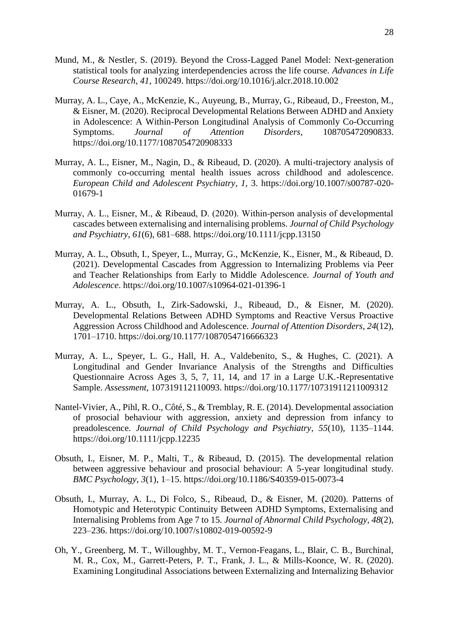- Mund, M., & Nestler, S. (2019). Beyond the Cross-Lagged Panel Model: Next-generation statistical tools for analyzing interdependencies across the life course. *Advances in Life Course Research*, *41*, 100249. https://doi.org/10.1016/j.alcr.2018.10.002
- Murray, A. L., Caye, A., McKenzie, K., Auyeung, B., Murray, G., Ribeaud, D., Freeston, M., & Eisner, M. (2020). Reciprocal Developmental Relations Between ADHD and Anxiety in Adolescence: A Within-Person Longitudinal Analysis of Commonly Co-Occurring Symptoms. *Journal of Attention Disorders*, 108705472090833. https://doi.org/10.1177/1087054720908333
- Murray, A. L., Eisner, M., Nagin, D., & Ribeaud, D. (2020). A multi-trajectory analysis of commonly co-occurring mental health issues across childhood and adolescence. *European Child and Adolescent Psychiatry*, *1*, 3. https://doi.org/10.1007/s00787-020- 01679-1
- Murray, A. L., Eisner, M., & Ribeaud, D. (2020). Within‐person analysis of developmental cascades between externalising and internalising problems. *Journal of Child Psychology and Psychiatry*, *61*(6), 681–688. https://doi.org/10.1111/jcpp.13150
- Murray, A. L., Obsuth, I., Speyer, L., Murray, G., McKenzie, K., Eisner, M., & Ribeaud, D. (2021). Developmental Cascades from Aggression to Internalizing Problems via Peer and Teacher Relationships from Early to Middle Adolescence. *Journal of Youth and Adolescence*. https://doi.org/10.1007/s10964-021-01396-1
- Murray, A. L., Obsuth, I., Zirk-Sadowski, J., Ribeaud, D., & Eisner, M. (2020). Developmental Relations Between ADHD Symptoms and Reactive Versus Proactive Aggression Across Childhood and Adolescence. *Journal of Attention Disorders*, *24*(12), 1701–1710. https://doi.org/10.1177/1087054716666323
- Murray, A. L., Speyer, L. G., Hall, H. A., Valdebenito, S., & Hughes, C. (2021). A Longitudinal and Gender Invariance Analysis of the Strengths and Difficulties Questionnaire Across Ages 3, 5, 7, 11, 14, and 17 in a Large U.K.-Representative Sample. *Assessment*, 107319112110093. https://doi.org/10.1177/10731911211009312
- Nantel-Vivier, A., Pihl, R. O., Côté, S., & Tremblay, R. E. (2014). Developmental association of prosocial behaviour with aggression, anxiety and depression from infancy to preadolescence. *Journal of Child Psychology and Psychiatry*, *55*(10), 1135–1144. https://doi.org/10.1111/jcpp.12235
- Obsuth, I., Eisner, M. P., Malti, T., & Ribeaud, D. (2015). The developmental relation between aggressive behaviour and prosocial behaviour: A 5-year longitudinal study. *BMC Psychology*, *3*(1), 1–15. https://doi.org/10.1186/S40359-015-0073-4
- Obsuth, I., Murray, A. L., Di Folco, S., Ribeaud, D., & Eisner, M. (2020). Patterns of Homotypic and Heterotypic Continuity Between ADHD Symptoms, Externalising and Internalising Problems from Age 7 to 15. *Journal of Abnormal Child Psychology*, *48*(2), 223–236. https://doi.org/10.1007/s10802-019-00592-9
- Oh, Y., Greenberg, M. T., Willoughby, M. T., Vernon-Feagans, L., Blair, C. B., Burchinal, M. R., Cox, M., Garrett-Peters, P. T., Frank, J. L., & Mills-Koonce, W. R. (2020). Examining Longitudinal Associations between Externalizing and Internalizing Behavior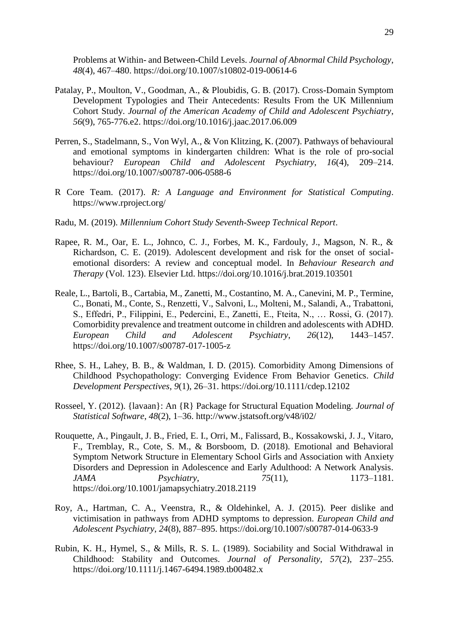Problems at Within- and Between-Child Levels. *Journal of Abnormal Child Psychology*, *48*(4), 467–480. https://doi.org/10.1007/s10802-019-00614-6

- Patalay, P., Moulton, V., Goodman, A., & Ploubidis, G. B. (2017). Cross-Domain Symptom Development Typologies and Their Antecedents: Results From the UK Millennium Cohort Study. *Journal of the American Academy of Child and Adolescent Psychiatry*, *56*(9), 765-776.e2. https://doi.org/10.1016/j.jaac.2017.06.009
- Perren, S., Stadelmann, S., Von Wyl, A., & Von Klitzing, K. (2007). Pathways of behavioural and emotional symptoms in kindergarten children: What is the role of pro-social behaviour? *European Child and Adolescent Psychiatry*, *16*(4), 209–214. https://doi.org/10.1007/s00787-006-0588-6
- R Core Team. (2017). *R: A Language and Environment for Statistical Computing*. https://www.rproject.org/
- Radu, M. (2019). *Millennium Cohort Study Seventh-Sweep Technical Report*.
- Rapee, R. M., Oar, E. L., Johnco, C. J., Forbes, M. K., Fardouly, J., Magson, N. R., & Richardson, C. E. (2019). Adolescent development and risk for the onset of socialemotional disorders: A review and conceptual model. In *Behaviour Research and Therapy* (Vol. 123). Elsevier Ltd. https://doi.org/10.1016/j.brat.2019.103501
- Reale, L., Bartoli, B., Cartabia, M., Zanetti, M., Costantino, M. A., Canevini, M. P., Termine, C., Bonati, M., Conte, S., Renzetti, V., Salvoni, L., Molteni, M., Salandi, A., Trabattoni, S., Effedri, P., Filippini, E., Pedercini, E., Zanetti, E., Fteita, N., … Rossi, G. (2017). Comorbidity prevalence and treatment outcome in children and adolescents with ADHD. *European Child and Adolescent Psychiatry*, *26*(12), 1443–1457. https://doi.org/10.1007/s00787-017-1005-z
- Rhee, S. H., Lahey, B. B., & Waldman, I. D. (2015). Comorbidity Among Dimensions of Childhood Psychopathology: Converging Evidence From Behavior Genetics. *Child Development Perspectives*, *9*(1), 26–31. https://doi.org/10.1111/cdep.12102
- Rosseel, Y. (2012). {lavaan}: An {R} Package for Structural Equation Modeling. *Journal of Statistical Software*, *48*(2), 1–36. http://www.jstatsoft.org/v48/i02/
- Rouquette, A., Pingault, J. B., Fried, E. I., Orri, M., Falissard, B., Kossakowski, J. J., Vitaro, F., Tremblay, R., Cote, S. M., & Borsboom, D. (2018). Emotional and Behavioral Symptom Network Structure in Elementary School Girls and Association with Anxiety Disorders and Depression in Adolescence and Early Adulthood: A Network Analysis. *JAMA Psychiatry*, *75*(11), 1173–1181. https://doi.org/10.1001/jamapsychiatry.2018.2119
- Roy, A., Hartman, C. A., Veenstra, R., & Oldehinkel, A. J. (2015). Peer dislike and victimisation in pathways from ADHD symptoms to depression. *European Child and Adolescent Psychiatry*, *24*(8), 887–895. https://doi.org/10.1007/s00787-014-0633-9
- Rubin, K. H., Hymel, S., & Mills, R. S. L. (1989). Sociability and Social Withdrawal in Childhood: Stability and Outcomes. *Journal of Personality*, *57*(2), 237–255. https://doi.org/10.1111/j.1467-6494.1989.tb00482.x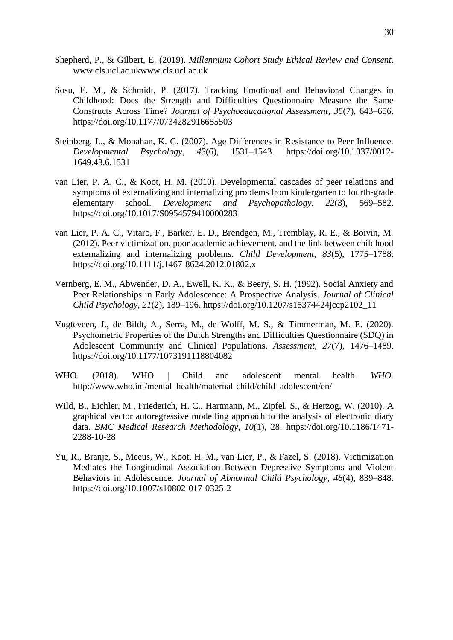- Shepherd, P., & Gilbert, E. (2019). *Millennium Cohort Study Ethical Review and Consent*. www.cls.ucl.ac.ukwww.cls.ucl.ac.uk
- Sosu, E. M., & Schmidt, P. (2017). Tracking Emotional and Behavioral Changes in Childhood: Does the Strength and Difficulties Questionnaire Measure the Same Constructs Across Time? *Journal of Psychoeducational Assessment*, *35*(7), 643–656. https://doi.org/10.1177/0734282916655503
- Steinberg, L., & Monahan, K. C. (2007). Age Differences in Resistance to Peer Influence. *Developmental Psychology*, *43*(6), 1531–1543. https://doi.org/10.1037/0012- 1649.43.6.1531
- van Lier, P. A. C., & Koot, H. M. (2010). Developmental cascades of peer relations and symptoms of externalizing and internalizing problems from kindergarten to fourth-grade elementary school. *Development and Psychopathology*, *22*(3), 569–582. https://doi.org/10.1017/S0954579410000283
- van Lier, P. A. C., Vitaro, F., Barker, E. D., Brendgen, M., Tremblay, R. E., & Boivin, M. (2012). Peer victimization, poor academic achievement, and the link between childhood externalizing and internalizing problems. *Child Development*, *83*(5), 1775–1788. https://doi.org/10.1111/j.1467-8624.2012.01802.x
- Vernberg, E. M., Abwender, D. A., Ewell, K. K., & Beery, S. H. (1992). Social Anxiety and Peer Relationships in Early Adolescence: A Prospective Analysis. *Journal of Clinical Child Psychology*, *21*(2), 189–196. https://doi.org/10.1207/s15374424jccp2102\_11
- Vugteveen, J., de Bildt, A., Serra, M., de Wolff, M. S., & Timmerman, M. E. (2020). Psychometric Properties of the Dutch Strengths and Difficulties Questionnaire (SDQ) in Adolescent Community and Clinical Populations. *Assessment*, *27*(7), 1476–1489. https://doi.org/10.1177/1073191118804082
- WHO. (2018). WHO | Child and adolescent mental health. *WHO*. http://www.who.int/mental\_health/maternal-child/child\_adolescent/en/
- Wild, B., Eichler, M., Friederich, H. C., Hartmann, M., Zipfel, S., & Herzog, W. (2010). A graphical vector autoregressive modelling approach to the analysis of electronic diary data. *BMC Medical Research Methodology*, *10*(1), 28. https://doi.org/10.1186/1471- 2288-10-28
- Yu, R., Branje, S., Meeus, W., Koot, H. M., van Lier, P., & Fazel, S. (2018). Victimization Mediates the Longitudinal Association Between Depressive Symptoms and Violent Behaviors in Adolescence. *Journal of Abnormal Child Psychology*, *46*(4), 839–848. https://doi.org/10.1007/s10802-017-0325-2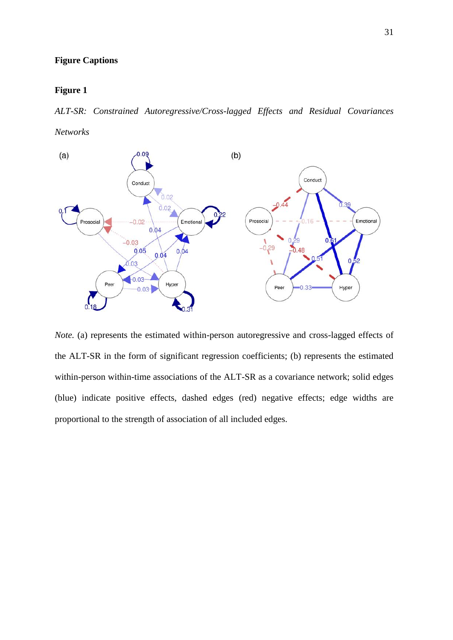## **Figure Captions**

#### **Figure 1**

*ALT-SR: Constrained Autoregressive/Cross-lagged Effects and Residual Covariances Networks*



*Note.* (a) represents the estimated within-person autoregressive and cross-lagged effects of the ALT-SR in the form of significant regression coefficients; (b) represents the estimated within-person within-time associations of the ALT-SR as a covariance network; solid edges (blue) indicate positive effects, dashed edges (red) negative effects; edge widths are proportional to the strength of association of all included edges.